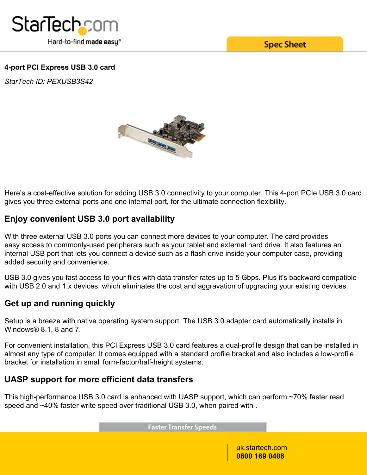

**Spec Sheet** 

## **4-port PCI Express USB 3.0 card**

*StarTech ID: PEXUSB3S42*



Here's a cost-effective solution for adding USB 3.0 connectivity to your computer. This 4-port PCIe USB 3.0 card gives you three external ports and one internal port, for the ultimate connection flexibility.

# **Enjoy convenient USB 3.0 port availability**

With three external USB 3.0 ports you can connect more devices to your computer. The card provides easy access to commonly-used peripherals such as your tablet and external hard drive. It also features an internal USB port that lets you connect a device such as a flash drive inside your computer case, providing added security and convenience.

USB 3.0 gives you fast access to your files with data transfer rates up to 5 Gbps. Plus it's backward compatible with USB 2.0 and 1.x devices, which eliminates the cost and aggravation of upgrading your existing devices.

# **Get up and running quickly**

Setup is a breeze with native operating system support. The USB 3.0 adapter card automatically installs in Windows® 8.1, 8 and 7.

For convenient installation, this PCI Express USB 3.0 card features a dual-profile design that can be installed in almost any type of computer. It comes equipped with a standard profile bracket and also includes a low-profile bracket for installation in small form-factor/half-height systems.

## **UASP support for more efficient data transfers**

This high-performance USB 3.0 card is enhanced with UASP support, which can perform ~70% faster read speed and ~40% faster write speed over traditional USB 3.0, when paired with .

**Faster Transfer Speeds** 

uk.startech.com **0800 169 0408**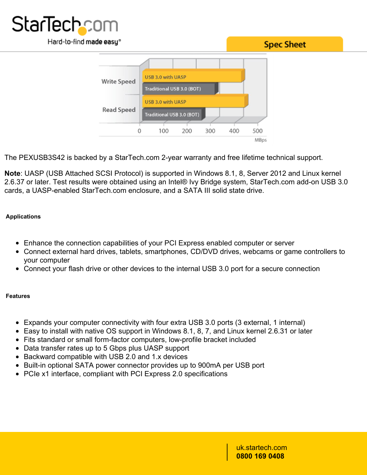





The PEXUSB3S42 is backed by a StarTech.com 2-year warranty and free lifetime technical support.

**Note**: UASP (USB Attached SCSI Protocol) is supported in Windows 8.1, 8, Server 2012 and Linux kernel 2.6.37 or later. Test results were obtained using an Intel® Ivy Bridge system, StarTech.com add-on USB 3.0 cards, a UASP-enabled StarTech.com enclosure, and a SATA III solid state drive.

### **Applications**

- Enhance the connection capabilities of your PCI Express enabled computer or server
- Connect external hard drives, tablets, smartphones, CD/DVD drives, webcams or game controllers to your computer
- Connect your flash drive or other devices to the internal USB 3.0 port for a secure connection

### **Features**

- Expands your computer connectivity with four extra USB 3.0 ports (3 external, 1 internal)
- $\bullet$  Easy to install with native OS support in Windows 8.1, 8, 7, and Linux kernel 2.6.31 or later
- Fits standard or small form-factor computers, low-profile bracket included
- Data transfer rates up to 5 Gbps plus UASP support
- Backward compatible with USB 2.0 and 1.x devices
- Built-in optional SATA power connector provides up to 900mA per USB port
- PCIe x1 interface, compliant with PCI Express 2.0 specifications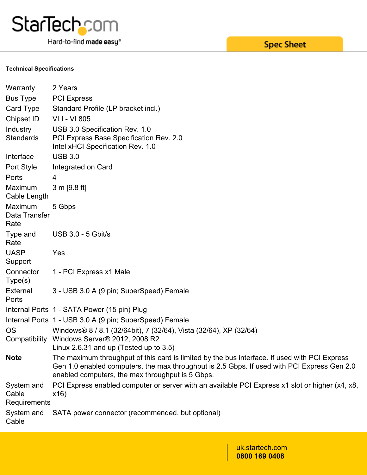

Hard-to-find made easy®

#### **Technical Specifications**

| Warranty                            | 2 Years                                                                                                                                                                                                                                          |
|-------------------------------------|--------------------------------------------------------------------------------------------------------------------------------------------------------------------------------------------------------------------------------------------------|
| <b>Bus Type</b>                     | <b>PCI Express</b>                                                                                                                                                                                                                               |
| Card Type                           | Standard Profile (LP bracket incl.)                                                                                                                                                                                                              |
| Chipset ID                          | <b>VLI - VL805</b>                                                                                                                                                                                                                               |
| Industry<br>Standards               | USB 3.0 Specification Rev. 1.0<br>PCI Express Base Specification Rev. 2.0<br>Intel xHCI Specification Rev. 1.0                                                                                                                                   |
| Interface                           | <b>USB 3.0</b>                                                                                                                                                                                                                                   |
| Port Style                          | Integrated on Card                                                                                                                                                                                                                               |
| Ports                               | 4                                                                                                                                                                                                                                                |
| Maximum<br>Cable Length             | 3 m [9.8 ft]                                                                                                                                                                                                                                     |
| Maximum<br>Data Transfer<br>Rate    | 5 Gbps                                                                                                                                                                                                                                           |
| Type and<br>Rate                    | <b>USB 3.0 - 5 Gbit/s</b>                                                                                                                                                                                                                        |
| <b>UASP</b><br>Support              | Yes                                                                                                                                                                                                                                              |
| Connector<br>Type(s)                | 1 - PCI Express x1 Male                                                                                                                                                                                                                          |
| External<br>Ports                   | 3 - USB 3.0 A (9 pin; SuperSpeed) Female                                                                                                                                                                                                         |
|                                     | Internal Ports 1 - SATA Power (15 pin) Plug                                                                                                                                                                                                      |
|                                     | Internal Ports 1 - USB 3.0 A (9 pin; SuperSpeed) Female                                                                                                                                                                                          |
| OS<br>Compatibility                 | Windows® 8 / 8.1 (32/64bit), 7 (32/64), Vista (32/64), XP (32/64)<br>Windows Server® 2012, 2008 R2<br>Linux 2.6.31 and up (Tested up to $3.5$ )                                                                                                  |
| <b>Note</b>                         | The maximum throughput of this card is limited by the bus interface. If used with PCI Express<br>Gen 1.0 enabled computers, the max throughput is 2.5 Gbps. If used with PCI Express Gen 2.0<br>enabled computers, the max throughput is 5 Gbps. |
| System and<br>Cable<br>Requirements | PCI Express enabled computer or server with an available PCI Express x1 slot or higher (x4, x8,<br>x16)                                                                                                                                          |
| System and<br>Cable                 | SATA power connector (recommended, but optional)                                                                                                                                                                                                 |

# **Spec Sheet**